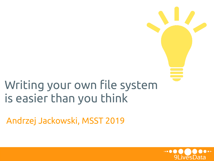## Writing your own file system is easier than you think

Andrzej Jackowski, MSST 2019

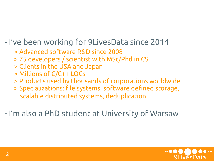- I've been working for 9LivesData since 2014

- > Advanced software R&D since 2008
- > 75 developers / scientist with MSc/Phd in CS
- > Clients in the USA and Japan
- > Millions of C/C++ LOCs
- > Products used by thousands of corporations worldwide
- > Specializations: file systems, software defined storage, scalable distributed systems, deduplication

- I'm also a PhD student at University of Warsaw

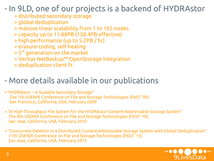#### - In 9LD, one of our projects is a backend of HYDRAstor

- > distributed secondary storage
- > global deduplication
- > massive linear scalability from 1 to 165 nodes
- > capacity up to 11.88PB (158.4PB effective)
- > high performance (up to 5.2PB / hr)
- > erasure-coding, self-healing
- > 5th generation on the market
- > Veritas NetBackup™ OpenStorage integration
- > deduplication client fs

### - More details available in our publications

- >"HYDRAstor A Scalable Secondary Storage" The 7th USENIX Conference on File and Storage Technologies (FAST '09) San Francisco, California, USA, February 2009
- > "A High-Throughput File System for the HYDRAstor Content-Addressable Storage System" The 8th USENIX Conference on File and Storage Technologies (FAST '10), San Jose, California, USA, February 2010
- > "Concurrent Deletion in a Distributed Content-Addressable Storage System with Global Deduplication" 11th USENIX Conference on File and Storage Technologies (FAST '13) San Jose, California, USA, February 2013

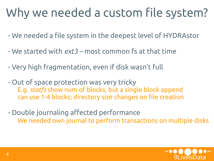## Why we needed a custom file system?

- We needed a file system in the deepest level of HYDRAstor
- We started with *ext3 –* most common fs at that time
- Very high fragmentation, even if disk wasn't full
- Out of space protection was very tricky E.g. *statfs* show num of blocks, but a single block append can use 1-4 blocks; directory size changes on file creation
- Double journaling affected performance We needed own journal to perform transactions on multiple disks

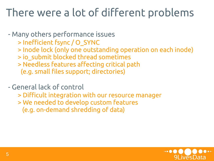## There were a lot of different problems

- Many others performance issues

- > Inefficient fsync / O\_SYNC
- > Inode lock (only one outstanding operation on each inode)
- > io\_submit blocked thread sometimes
- > Needless features affecting critical path
- (e.g. small files support; directories)

- General lack of control

- > Difficult integration with our resource manager
- > We needed to develop custom features
	- (e.g. on-demand shredding of data)

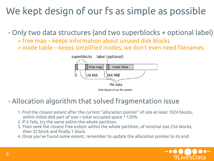### We kept design of our fs as simple as possible

- Only two data structures (and two superblocks + optional label)

- > free map keeps information about unused disk blocks
- > inode table keeps simplified inodes, we don't even need filenames



#### - Allocation algorithm that solved fragmentation issue

- 1. Find the closest extent after the current "allocation pointer" of size at least 1024 blocks, within initial disk part of size = total occupied space \* 120%.
- 2. If it fails, try the same within the whole partition.
- 3. Then seek the closest free extent within the whole partition, of minimal size 256 blocks, then 32 block and finally 1 block.
- 4. Once you've found some extent, remember to update the allocation pointer to its end.

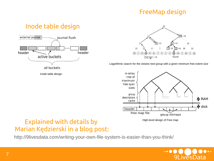#### FreeMap design

#### Inode table design





Logarithmic search for the closest next group with a given minimum free extent size



#### Explained with details by Marian Kędzierski in a blog post:

http://9livesdata.com/writing-your-own-file-system-is-easier-than-you-think/

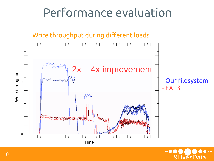## Performance evaluation





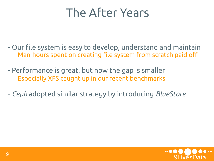## The After Years

- Our file system is easy to develop, understand and maintain Man-hours spent on creating file system from scratch paid off
- Performance is great, but now the gap is smaller Especially XFS caught up in our recent benchmarks
- *Ceph* adopted similar strategy by introducing *BlueStore*

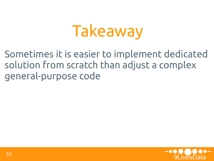## Takeaway

Sometimes it is easier to implement dedicated solution from scratch than adjust a complex general-purpose code